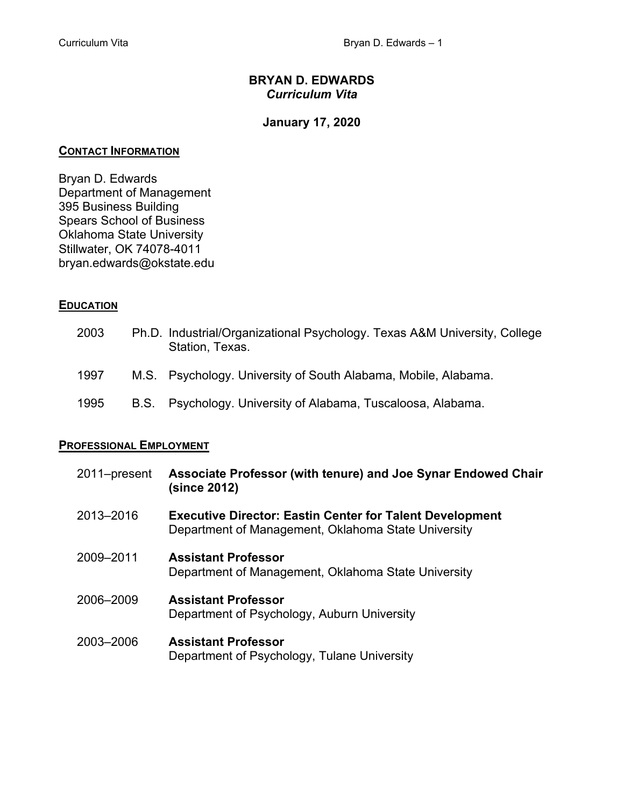# **BRYAN D. EDWARDS**  *Curriculum Vita*

# **January 17, 2020**

## **CONTACT INFORMATION**

Bryan D. Edwards Department of Management 395 Business Building Spears School of Business Oklahoma State University Stillwater, OK 74078-4011 bryan.edwards@okstate.edu

# **EDUCATION**

| 2003 | Ph.D. Industrial/Organizational Psychology. Texas A&M University, College<br>Station, Texas. |
|------|----------------------------------------------------------------------------------------------|
| 1997 | M.S. Psychology. University of South Alabama, Mobile, Alabama.                               |
| 1995 | B.S. Psychology. University of Alabama, Tuscaloosa, Alabama.                                 |

# **PROFESSIONAL EMPLOYMENT**

| 2011–present | Associate Professor (with tenure) and Joe Synar Endowed Chair<br>(since 2012)                                          |
|--------------|------------------------------------------------------------------------------------------------------------------------|
| 2013-2016    | <b>Executive Director: Eastin Center for Talent Development</b><br>Department of Management, Oklahoma State University |
| 2009-2011    | <b>Assistant Professor</b><br>Department of Management, Oklahoma State University                                      |
| 2006-2009    | <b>Assistant Professor</b><br>Department of Psychology, Auburn University                                              |
| 2003-2006    | <b>Assistant Professor</b><br>Department of Psychology, Tulane University                                              |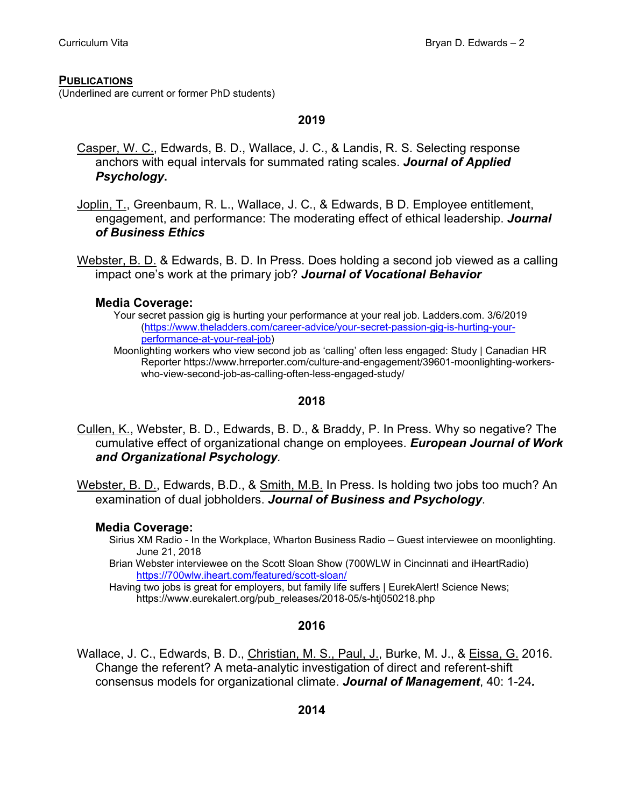#### **PUBLICATIONS**

(Underlined are current or former PhD students)

## **2019**

- Casper, W. C., Edwards, B. D., Wallace, J. C., & Landis, R. S. Selecting response anchors with equal intervals for summated rating scales. *Journal of Applied Psychology***.**
- Joplin, T., Greenbaum, R. L., Wallace, J. C., & Edwards, B D. Employee entitlement, engagement, and performance: The moderating effect of ethical leadership. *Journal of Business Ethics*

Webster, B. D. & Edwards, B. D. In Press. Does holding a second job viewed as a calling impact one's work at the primary job? *Journal of Vocational Behavior*

## **Media Coverage:**

Your secret passion gig is hurting your performance at your real job. Ladders.com. 3/6/2019 (https://www.theladders.com/career-advice/your-secret-passion-gig-is-hurting-yourperformance-at-your-real-job)

Moonlighting workers who view second job as 'calling' often less engaged: Study | Canadian HR Reporter https://www.hrreporter.com/culture-and-engagement/39601-moonlighting-workerswho-view-second-job-as-calling-often-less-engaged-study/

## **2018**

- Cullen, K., Webster, B. D., Edwards, B. D., & Braddy, P. In Press. Why so negative? The cumulative effect of organizational change on employees. *European Journal of Work and Organizational Psychology.*
- Webster, B. D., Edwards, B.D., & Smith, M.B. In Press. Is holding two jobs too much? An examination of dual jobholders. *Journal of Business and Psychology*.

# **Media Coverage:**

- Sirius XM Radio In the Workplace, Wharton Business Radio Guest interviewee on moonlighting. June 21, 2018
- Brian Webster interviewee on the Scott Sloan Show (700WLW in Cincinnati and iHeartRadio) https://700wlw.iheart.com/featured/scott-sloan/
- Having two jobs is great for employers, but family life suffers | EurekAlert! Science News; https://www.eurekalert.org/pub\_releases/2018-05/s-htj050218.php

#### **2016**

Wallace, J. C., Edwards, B. D., Christian, M. S., Paul, J., Burke, M. J., & Eissa, G. 2016. Change the referent? A meta-analytic investigation of direct and referent-shift consensus models for organizational climate. *Journal of Management*, 40: 1-24*.*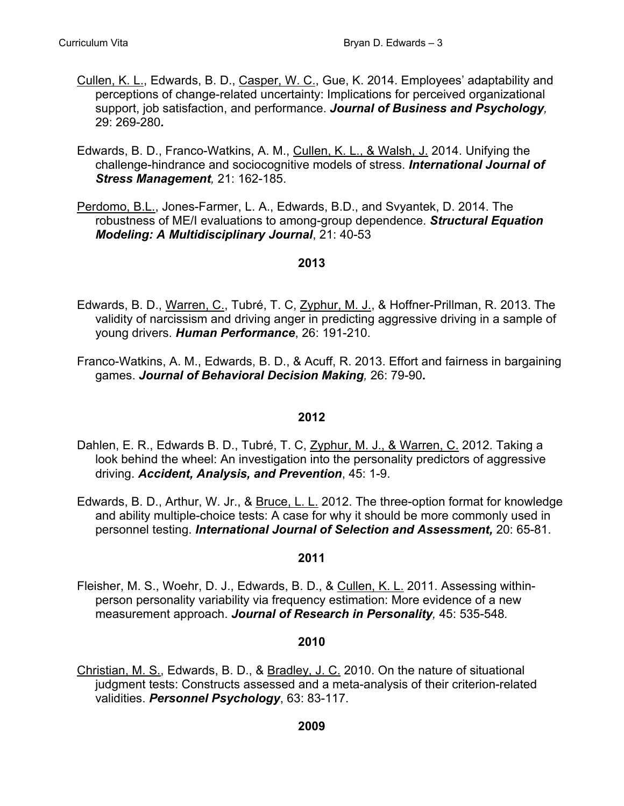- Cullen, K. L., Edwards, B. D., Casper, W. C., Gue, K. 2014. Employees' adaptability and perceptions of change-related uncertainty: Implications for perceived organizational support, job satisfaction, and performance. *Journal of Business and Psychology,*  29: 269-280*.*
- Edwards, B. D., Franco-Watkins, A. M., Cullen, K. L., & Walsh, J. 2014. Unifying the challenge-hindrance and sociocognitive models of stress. *International Journal of Stress Management,* 21: 162-185.
- Perdomo, B.L., Jones-Farmer, L. A., Edwards, B.D., and Svyantek, D. 2014. The robustness of ME/I evaluations to among-group dependence. *Structural Equation Modeling: A Multidisciplinary Journal*, 21: 40-53

- Edwards, B. D., Warren, C., Tubré, T. C, Zyphur, M. J., & Hoffner-Prillman, R. 2013. The validity of narcissism and driving anger in predicting aggressive driving in a sample of young drivers. *Human Performance*, 26: 191-210.
- Franco-Watkins, A. M., Edwards, B. D., & Acuff, R. 2013. Effort and fairness in bargaining games. *Journal of Behavioral Decision Making,* 26: 79-90**.**

# **2012**

- Dahlen, E. R., Edwards B. D., Tubré, T. C, Zyphur, M. J., & Warren, C. 2012. Taking a look behind the wheel: An investigation into the personality predictors of aggressive driving. *Accident, Analysis, and Prevention*, 45: 1-9.
- Edwards, B. D., Arthur, W. Jr., & Bruce, L. L. 2012. The three-option format for knowledge and ability multiple-choice tests: A case for why it should be more commonly used in personnel testing. *International Journal of Selection and Assessment,* 20: 65-81.

#### **2011**

Fleisher, M. S., Woehr, D. J., Edwards, B. D., & Cullen, K. L. 2011. Assessing withinperson personality variability via frequency estimation: More evidence of a new measurement approach. *Journal of Research in Personality,* 45: 535-548*.* 

#### **2010**

Christian, M. S., Edwards, B. D., & Bradley, J. C. 2010. On the nature of situational judgment tests: Constructs assessed and a meta-analysis of their criterion-related validities. *Personnel Psychology*, 63: 83-117.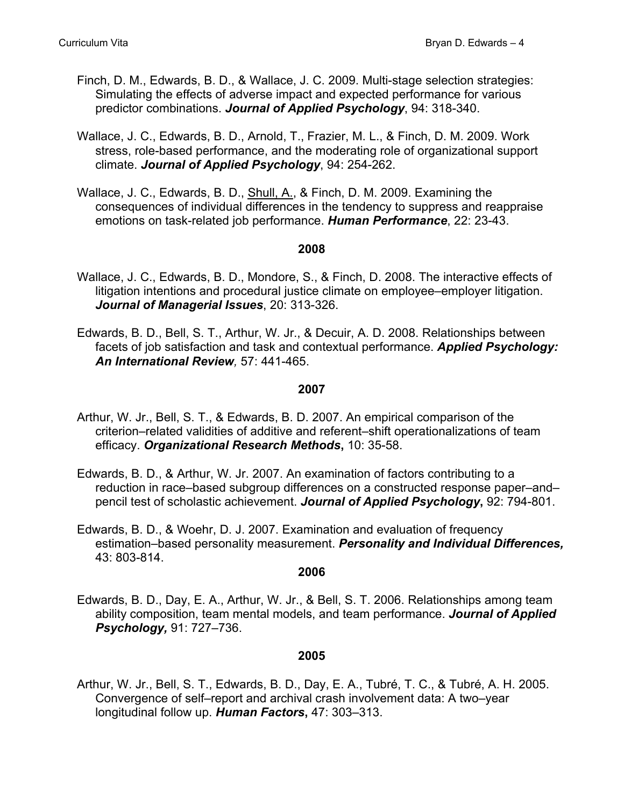- Finch, D. M., Edwards, B. D., & Wallace, J. C. 2009. Multi-stage selection strategies: Simulating the effects of adverse impact and expected performance for various predictor combinations. *Journal of Applied Psychology*, 94: 318-340.
- Wallace, J. C., Edwards, B. D., Arnold, T., Frazier, M. L., & Finch, D. M. 2009. Work stress, role-based performance, and the moderating role of organizational support climate. *Journal of Applied Psychology*, 94: 254-262.
- Wallace, J. C., Edwards, B. D., Shull, A., & Finch, D. M. 2009. Examining the consequences of individual differences in the tendency to suppress and reappraise emotions on task-related job performance. *Human Performance*, 22: 23-43.

- Wallace, J. C., Edwards, B. D., Mondore, S., & Finch, D. 2008. The interactive effects of litigation intentions and procedural justice climate on employee–employer litigation. *Journal of Managerial Issues*, 20: 313-326.
- Edwards, B. D., Bell, S. T., Arthur, W. Jr., & Decuir, A. D. 2008. Relationships between facets of job satisfaction and task and contextual performance. *Applied Psychology: An International Review,* 57: 441-465.

#### **2007**

- Arthur, W. Jr., Bell, S. T., & Edwards, B. D. 2007. An empirical comparison of the criterion–related validities of additive and referent–shift operationalizations of team efficacy. *Organizational Research Methods***,** 10: 35-58.
- Edwards, B. D., & Arthur, W. Jr. 2007. An examination of factors contributing to a reduction in race–based subgroup differences on a constructed response paper–and– pencil test of scholastic achievement. *Journal of Applied Psychology***,** 92: 794-801.
- Edwards, B. D., & Woehr, D. J. 2007. Examination and evaluation of frequency estimation–based personality measurement. *Personality and Individual Differences,* 43: 803-814.

#### **2006**

Edwards, B. D., Day, E. A., Arthur, W. Jr., & Bell, S. T. 2006. Relationships among team ability composition, team mental models, and team performance. *Journal of Applied Psychology,* 91: 727–736.

# **2005**

Arthur, W. Jr., Bell, S. T., Edwards, B. D., Day, E. A., Tubré, T. C., & Tubré, A. H. 2005. Convergence of self–report and archival crash involvement data: A two–year longitudinal follow up. *Human Factors***,** 47: 303–313.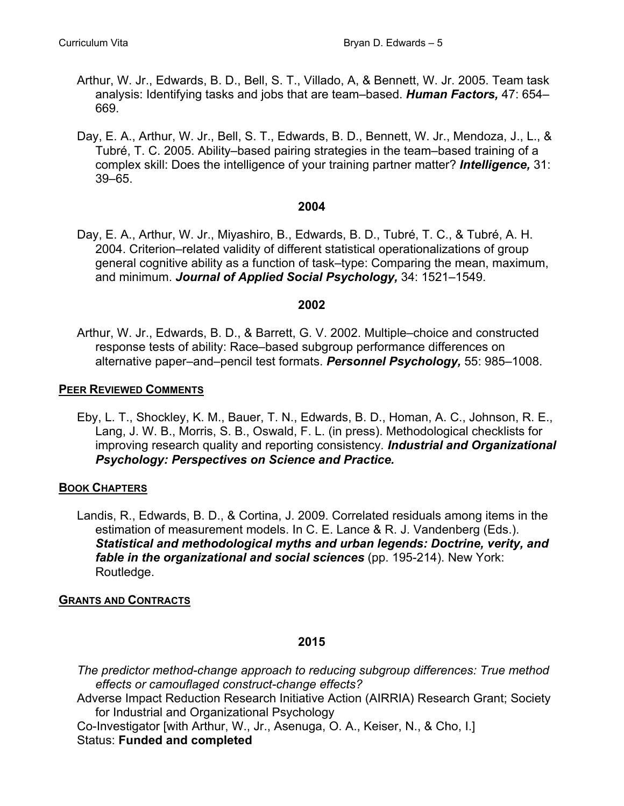- Arthur, W. Jr., Edwards, B. D., Bell, S. T., Villado, A, & Bennett, W. Jr. 2005. Team task analysis: Identifying tasks and jobs that are team–based. *Human Factors,* 47: 654– 669.
- Day, E. A., Arthur, W. Jr., Bell, S. T., Edwards, B. D., Bennett, W. Jr., Mendoza, J., L., & Tubré, T. C. 2005. Ability–based pairing strategies in the team–based training of a complex skill: Does the intelligence of your training partner matter? *Intelligence,* 31: 39–65.

Day, E. A., Arthur, W. Jr., Miyashiro, B., Edwards, B. D., Tubré, T. C., & Tubré, A. H. 2004. Criterion–related validity of different statistical operationalizations of group general cognitive ability as a function of task–type: Comparing the mean, maximum, and minimum. *Journal of Applied Social Psychology,* 34: 1521–1549.

## **2002**

Arthur, W. Jr., Edwards, B. D., & Barrett, G. V. 2002. Multiple–choice and constructed response tests of ability: Race–based subgroup performance differences on alternative paper–and–pencil test formats. *Personnel Psychology,* 55: 985–1008.

## **PEER REVIEWED COMMENTS**

Eby, L. T., Shockley, K. M., Bauer, T. N., Edwards, B. D., Homan, A. C., Johnson, R. E., Lang, J. W. B., Morris, S. B., Oswald, F. L. (in press). Methodological checklists for improving research quality and reporting consistency*. Industrial and Organizational Psychology: Perspectives on Science and Practice.* 

# **BOOK CHAPTERS**

Landis, R., Edwards, B. D., & Cortina, J. 2009. Correlated residuals among items in the estimation of measurement models. In C. E. Lance & R. J. Vandenberg (Eds.). *Statistical and methodological myths and urban legends: Doctrine, verity, and fable in the organizational and social sciences* (pp. 195-214). New York: Routledge.

# **GRANTS AND CONTRACTS**

# **2015**

*The predictor method-change approach to reducing subgroup differences: True method effects or camouflaged construct-change effects?*  Adverse Impact Reduction Research Initiative Action (AIRRIA) Research Grant; Society for Industrial and Organizational Psychology Co-Investigator [with Arthur, W., Jr., Asenuga, O. A., Keiser, N., & Cho, I.] Status: **Funded and completed**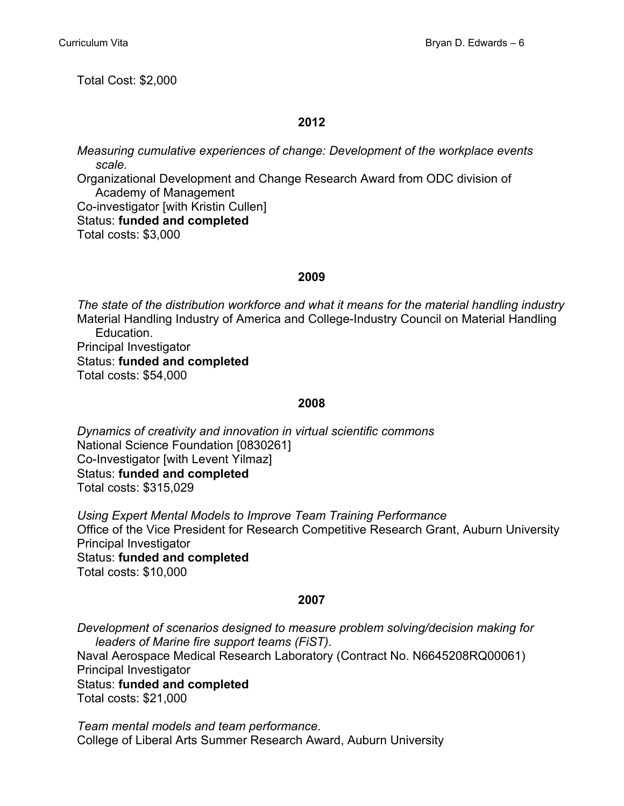Total Cost: \$2,000

# **2012**

*Measuring cumulative experiences of change: Development of the workplace events scale.* 

Organizational Development and Change Research Award from ODC division of Academy of Management Co-investigator [with Kristin Cullen]

Status: **funded and completed**

Total costs: \$3,000

# **2009**

*The state of the distribution workforce and what it means for the material handling industry* Material Handling Industry of America and College-Industry Council on Material Handling Education.

 Principal Investigator Status: **funded and completed** Total costs: \$54,000

# **2008**

*Dynamics of creativity and innovation in virtual scientific commons* National Science Foundation [0830261] Co-Investigator [with Levent Yilmaz] Status: **funded and completed** Total costs: \$315,029

 *Using Expert Mental Models to Improve Team Training Performance* Office of the Vice President for Research Competitive Research Grant, Auburn University Principal Investigator Status: **funded and completed** Total costs: \$10,000

# **2007**

*Development of scenarios designed to measure problem solving/decision making for leaders of Marine fire support teams (FiST)*. Naval Aerospace Medical Research Laboratory (Contract No. N6645208RQ00061) Principal Investigator Status: **funded and completed** Total costs: \$21,000

*Team mental models and team performance*. College of Liberal Arts Summer Research Award, Auburn University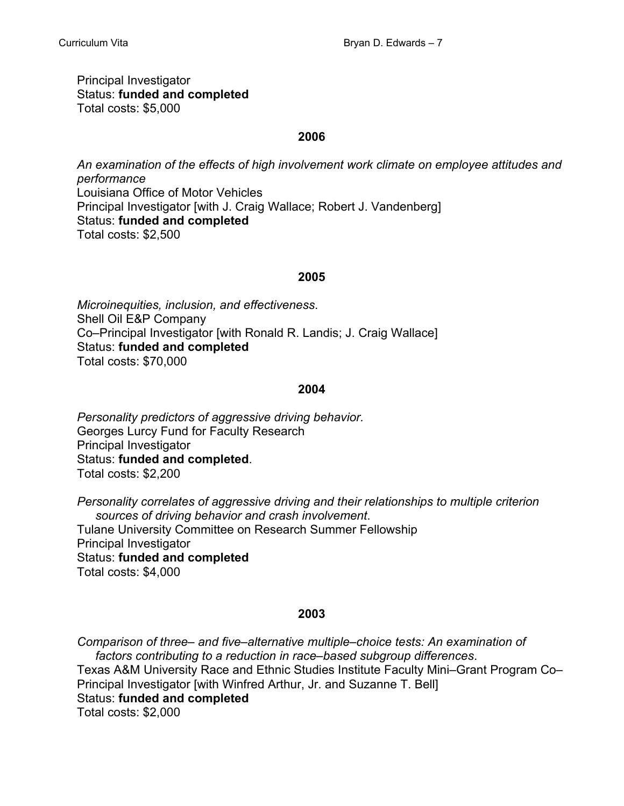Principal Investigator Status: **funded and completed** Total costs: \$5,000

## **2006**

*An examination of the effects of high involvement work climate on employee attitudes and performance* Louisiana Office of Motor Vehicles Principal Investigator [with J. Craig Wallace; Robert J. Vandenberg] Status: **funded and completed** Total costs: \$2,500

## **2005**

*Microinequities, inclusion, and effectiveness*. Shell Oil E&P Company Co–Principal Investigator [with Ronald R. Landis; J. Craig Wallace] Status: **funded and completed** Total costs: \$70,000

## **2004**

*Personality predictors of aggressive driving behavior.* Georges Lurcy Fund for Faculty Research Principal Investigator Status: **funded and completed**. Total costs: \$2,200

*Personality correlates of aggressive driving and their relationships to multiple criterion sources of driving behavior and crash involvement*. Tulane University Committee on Research Summer Fellowship Principal Investigator Status: **funded and completed** Total costs: \$4,000

# **2003**

*Comparison of three– and five–alternative multiple–choice tests: An examination of factors contributing to a reduction in race–based subgroup differences*. Texas A&M University Race and Ethnic Studies Institute Faculty Mini–Grant Program Co– Principal Investigator [with Winfred Arthur, Jr. and Suzanne T. Bell] Status: **funded and completed** Total costs: \$2,000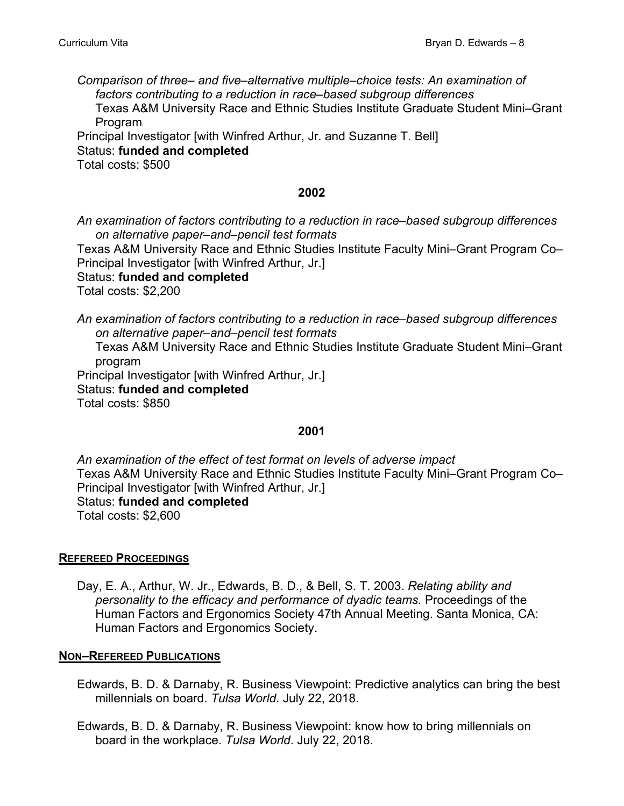*Comparison of three– and five–alternative multiple–choice tests: An examination of factors contributing to a reduction in race–based subgroup differences* Texas A&M University Race and Ethnic Studies Institute Graduate Student Mini–Grant Program Principal Investigator [with Winfred Arthur, Jr. and Suzanne T. Bell]

Status: **funded and completed**

Total costs: \$500

## **2002**

*An examination of factors contributing to a reduction in race–based subgroup differences on alternative paper–and–pencil test formats*

Texas A&M University Race and Ethnic Studies Institute Faculty Mini–Grant Program Co– Principal Investigator [with Winfred Arthur, Jr.]

Status: **funded and completed**

Total costs: \$2,200

*An examination of factors contributing to a reduction in race–based subgroup differences on alternative paper–and–pencil test formats*

 Texas A&M University Race and Ethnic Studies Institute Graduate Student Mini–Grant program

 Principal Investigator [with Winfred Arthur, Jr.] Status: **funded and completed** Total costs: \$850

# **2001**

*An examination of the effect of test format on levels of adverse impact* Texas A&M University Race and Ethnic Studies Institute Faculty Mini–Grant Program Co– Principal Investigator [with Winfred Arthur, Jr.] Status: **funded and completed** Total costs: \$2,600

**REFEREED PROCEEDINGS**

Day, E. A., Arthur, W. Jr., Edwards, B. D., & Bell, S. T. 2003. *Relating ability and personality to the efficacy and performance of dyadic teams.* Proceedings of the Human Factors and Ergonomics Society 47th Annual Meeting. Santa Monica, CA: Human Factors and Ergonomics Society.

# **NON–REFEREED PUBLICATIONS**

Edwards, B. D. & Darnaby, R. Business Viewpoint: Predictive analytics can bring the best millennials on board. *Tulsa World*. July 22, 2018.

Edwards, B. D. & Darnaby, R. Business Viewpoint: know how to bring millennials on board in the workplace. *Tulsa World*. July 22, 2018.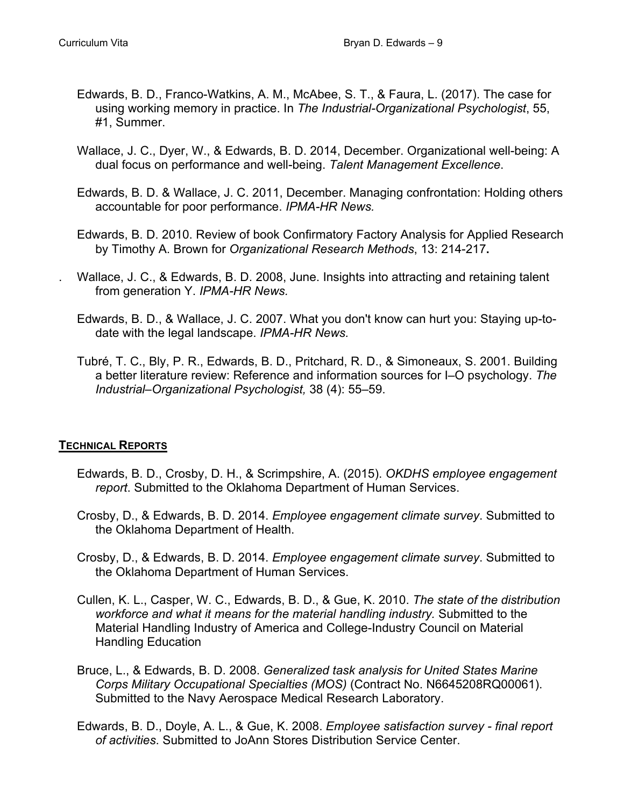- Edwards, B. D., Franco-Watkins, A. M., McAbee, S. T., & Faura, L. (2017). The case for using working memory in practice. In *The Industrial-Organizational Psychologist*, 55, #1, Summer.
- Wallace, J. C., Dyer, W., & Edwards, B. D. 2014, December. Organizational well-being: A dual focus on performance and well-being. *Talent Management Excellence*.
- Edwards, B. D. & Wallace, J. C. 2011, December. Managing confrontation: Holding others accountable for poor performance. *IPMA-HR News.*
- Edwards, B. D. 2010. Review of book Confirmatory Factory Analysis for Applied Research by Timothy A. Brown for *Organizational Research Methods*, 13: 214-217**.**
- . Wallace, J. C., & Edwards, B. D. 2008, June. Insights into attracting and retaining talent from generation Y. *IPMA-HR News.*
- Edwards, B. D., & Wallace, J. C. 2007. What you don't know can hurt you: Staying up-todate with the legal landscape. *IPMA-HR News.*
- Tubré, T. C., Bly, P. R., Edwards, B. D., Pritchard, R. D., & Simoneaux, S. 2001. Building a better literature review: Reference and information sources for I–O psychology. *The Industrial–Organizational Psychologist,* 38 (4): 55–59.

# **TECHNICAL REPORTS**

- Edwards, B. D., Crosby, D. H., & Scrimpshire, A. (2015). *OKDHS employee engagement report*. Submitted to the Oklahoma Department of Human Services.
- Crosby, D., & Edwards, B. D. 2014. *Employee engagement climate survey*. Submitted to the Oklahoma Department of Health.
- Crosby, D., & Edwards, B. D. 2014. *Employee engagement climate survey*. Submitted to the Oklahoma Department of Human Services.
- Cullen, K. L., Casper, W. C., Edwards, B. D., & Gue, K. 2010. *The state of the distribution workforce and what it means for the material handling industry.* Submitted to the Material Handling Industry of America and College-Industry Council on Material Handling Education
- Bruce, L., & Edwards, B. D. 2008. *Generalized task analysis for United States Marine Corps Military Occupational Specialties (MOS)* (Contract No. N6645208RQ00061). Submitted to the Navy Aerospace Medical Research Laboratory.
- Edwards, B. D., Doyle, A. L., & Gue, K. 2008. *Employee satisfaction survey final report of activities*. Submitted to JoAnn Stores Distribution Service Center.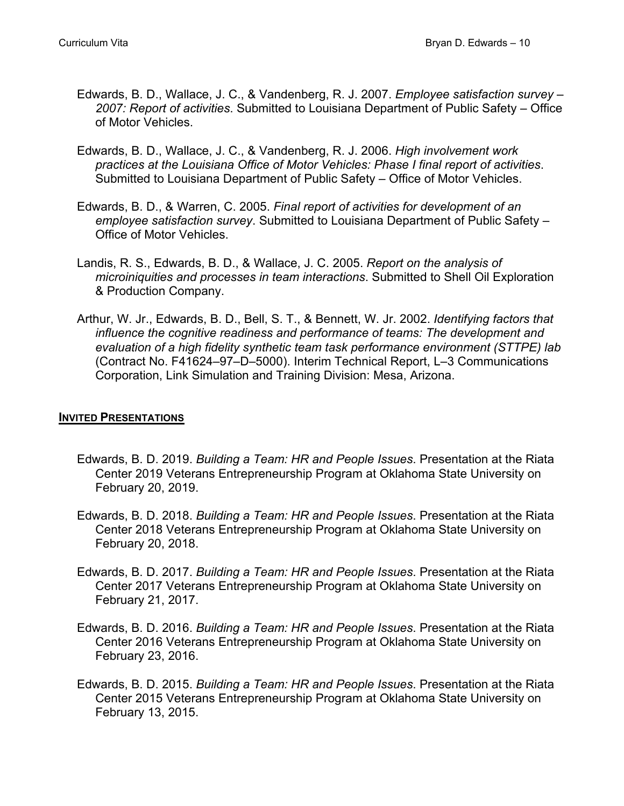- Edwards, B. D., Wallace, J. C., & Vandenberg, R. J. 2007. *Employee satisfaction survey 2007: Report of activities*. Submitted to Louisiana Department of Public Safety – Office of Motor Vehicles.
- Edwards, B. D., Wallace, J. C., & Vandenberg, R. J. 2006. *High involvement work practices at the Louisiana Office of Motor Vehicles: Phase I final report of activities*. Submitted to Louisiana Department of Public Safety – Office of Motor Vehicles.
- Edwards, B. D., & Warren, C. 2005. *Final report of activities for development of an employee satisfaction survey*. Submitted to Louisiana Department of Public Safety – Office of Motor Vehicles.
- Landis, R. S., Edwards, B. D., & Wallace, J. C. 2005. *Report on the analysis of microiniquities and processes in team interactions*. Submitted to Shell Oil Exploration & Production Company.
- Arthur, W. Jr., Edwards, B. D., Bell, S. T., & Bennett, W. Jr. 2002. *Identifying factors that influence the cognitive readiness and performance of teams: The development and evaluation of a high fidelity synthetic team task performance environment (STTPE) lab* (Contract No. F41624–97–D–5000). Interim Technical Report, L–3 Communications Corporation, Link Simulation and Training Division: Mesa, Arizona.

# **INVITED PRESENTATIONS**

- Edwards, B. D. 2019. *Building a Team: HR and People Issues*. Presentation at the Riata Center 2019 Veterans Entrepreneurship Program at Oklahoma State University on February 20, 2019.
- Edwards, B. D. 2018. *Building a Team: HR and People Issues*. Presentation at the Riata Center 2018 Veterans Entrepreneurship Program at Oklahoma State University on February 20, 2018.
- Edwards, B. D. 2017. *Building a Team: HR and People Issues*. Presentation at the Riata Center 2017 Veterans Entrepreneurship Program at Oklahoma State University on February 21, 2017.
- Edwards, B. D. 2016. *Building a Team: HR and People Issues*. Presentation at the Riata Center 2016 Veterans Entrepreneurship Program at Oklahoma State University on February 23, 2016.
- Edwards, B. D. 2015. *Building a Team: HR and People Issues*. Presentation at the Riata Center 2015 Veterans Entrepreneurship Program at Oklahoma State University on February 13, 2015.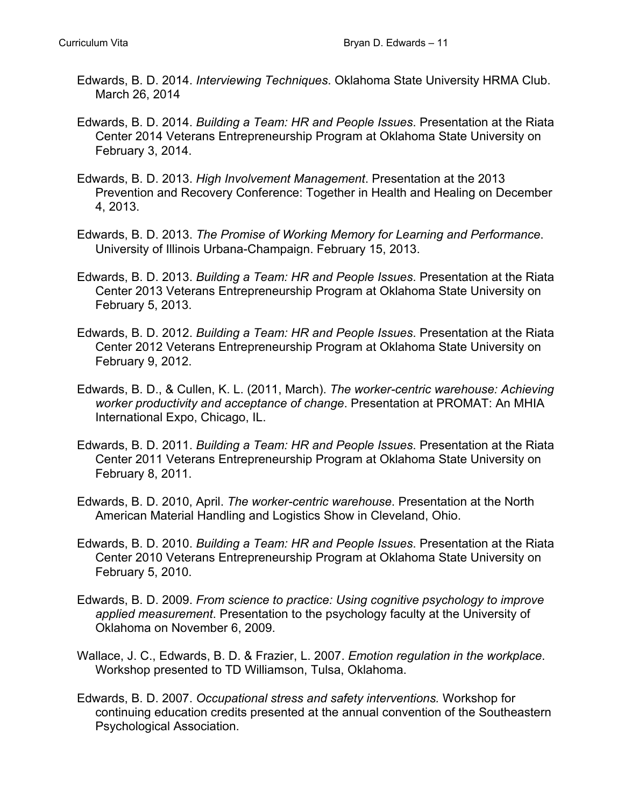- Edwards, B. D. 2014. *Interviewing Techniques*. Oklahoma State University HRMA Club. March 26, 2014
- Edwards, B. D. 2014. *Building a Team: HR and People Issues*. Presentation at the Riata Center 2014 Veterans Entrepreneurship Program at Oklahoma State University on February 3, 2014.
- Edwards, B. D. 2013. *High Involvement Management*. Presentation at the 2013 Prevention and Recovery Conference: Together in Health and Healing on December 4, 2013.
- Edwards, B. D. 2013. *The Promise of Working Memory for Learning and Performance*. University of Illinois Urbana-Champaign. February 15, 2013.
- Edwards, B. D. 2013. *Building a Team: HR and People Issues*. Presentation at the Riata Center 2013 Veterans Entrepreneurship Program at Oklahoma State University on February 5, 2013.
- Edwards, B. D. 2012. *Building a Team: HR and People Issues*. Presentation at the Riata Center 2012 Veterans Entrepreneurship Program at Oklahoma State University on February 9, 2012.
- Edwards, B. D., & Cullen, K. L. (2011, March). *The worker-centric warehouse: Achieving worker productivity and acceptance of change*. Presentation at PROMAT: An MHIA International Expo, Chicago, IL.
- Edwards, B. D. 2011. *Building a Team: HR and People Issues*. Presentation at the Riata Center 2011 Veterans Entrepreneurship Program at Oklahoma State University on February 8, 2011.
- Edwards, B. D. 2010, April. *The worker-centric warehouse*. Presentation at the North American Material Handling and Logistics Show in Cleveland, Ohio.
- Edwards, B. D. 2010. *Building a Team: HR and People Issues*. Presentation at the Riata Center 2010 Veterans Entrepreneurship Program at Oklahoma State University on February 5, 2010.
- Edwards, B. D. 2009. *From science to practice: Using cognitive psychology to improve applied measurement*. Presentation to the psychology faculty at the University of Oklahoma on November 6, 2009.
- Wallace, J. C., Edwards, B. D. & Frazier, L. 2007. *Emotion regulation in the workplace*. Workshop presented to TD Williamson, Tulsa, Oklahoma.
- Edwards, B. D. 2007. *Occupational stress and safety interventions.* Workshop for continuing education credits presented at the annual convention of the Southeastern Psychological Association.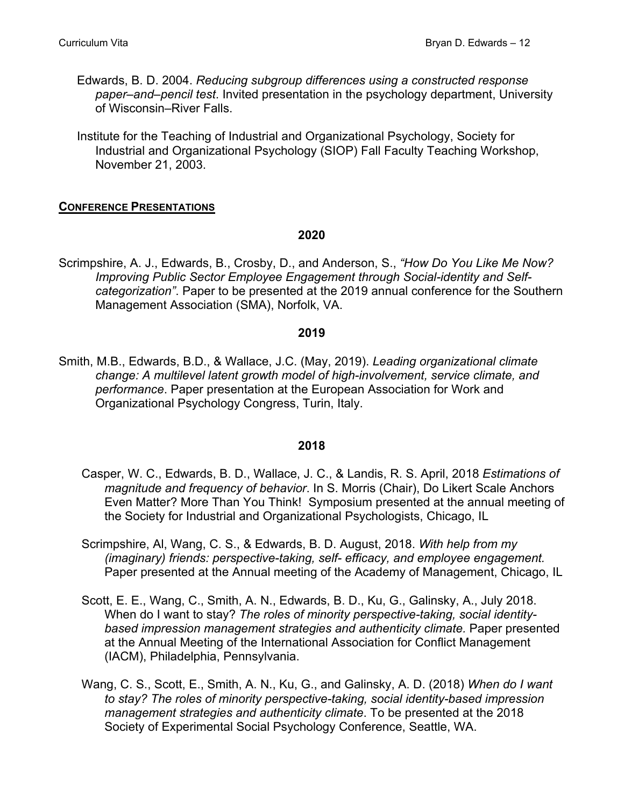- Edwards, B. D. 2004. *Reducing subgroup differences using a constructed response paper–and–pencil test*. Invited presentation in the psychology department, University of Wisconsin–River Falls.
- Institute for the Teaching of Industrial and Organizational Psychology, Society for Industrial and Organizational Psychology (SIOP) Fall Faculty Teaching Workshop, November 21, 2003.

# **CONFERENCE PRESENTATIONS**

## **2020**

Scrimpshire, A. J., Edwards, B., Crosby, D., and Anderson, S., *"How Do You Like Me Now? Improving Public Sector Employee Engagement through Social-identity and Selfcategorization"*. Paper to be presented at the 2019 annual conference for the Southern Management Association (SMA), Norfolk, VA.

## **2019**

Smith, M.B., Edwards, B.D., & Wallace, J.C. (May, 2019). *Leading organizational climate change: A multilevel latent growth model of high-involvement, service climate, and performance*. Paper presentation at the European Association for Work and Organizational Psychology Congress, Turin, Italy.

- Casper, W. C., Edwards, B. D., Wallace, J. C., & Landis, R. S. April, 2018 *Estimations of magnitude and frequency of behavior*. In S. Morris (Chair), Do Likert Scale Anchors Even Matter? More Than You Think! Symposium presented at the annual meeting of the Society for Industrial and Organizational Psychologists, Chicago, IL
- Scrimpshire, Al, Wang, C. S., & Edwards, B. D. August, 2018. *With help from my (imaginary) friends: perspective-taking, self- efficacy, and employee engagement.* Paper presented at the Annual meeting of the Academy of Management, Chicago, IL
- Scott, E. E., Wang, C., Smith, A. N., Edwards, B. D., Ku, G., Galinsky, A., July 2018. When do I want to stay? *The roles of minority perspective-taking, social identitybased impression management strategies and authenticity climate.* Paper presented at the Annual Meeting of the International Association for Conflict Management (IACM), Philadelphia, Pennsylvania.
- Wang, C. S., Scott, E., Smith, A. N., Ku, G., and Galinsky, A. D. (2018) *When do I want to stay? The roles of minority perspective-taking, social identity-based impression management strategies and authenticity climate*. To be presented at the 2018 Society of Experimental Social Psychology Conference, Seattle, WA.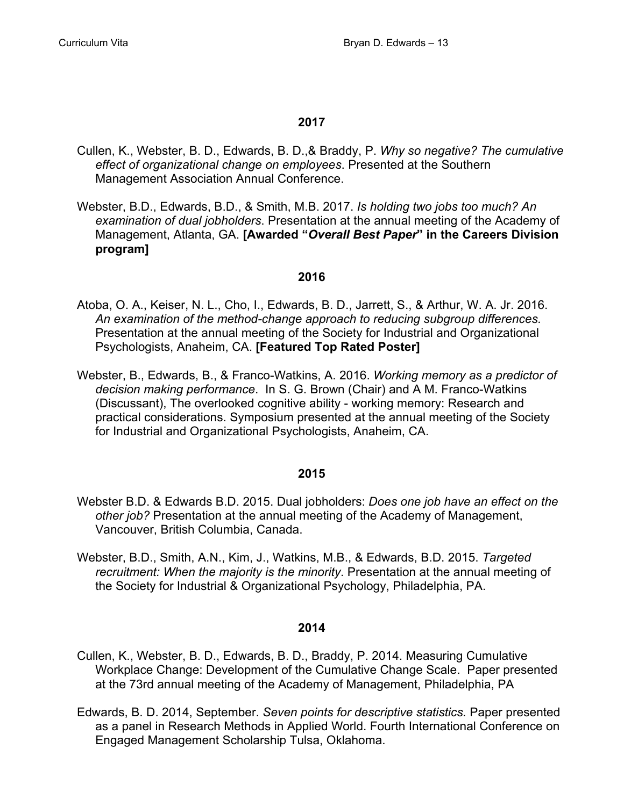- Cullen, K., Webster, B. D., Edwards, B. D.,& Braddy, P. *Why so negative? The cumulative effect of organizational change on employees*. Presented at the Southern Management Association Annual Conference.
- Webster, B.D., Edwards, B.D., & Smith, M.B. 2017. *Is holding two jobs too much? An examination of dual jobholders*. Presentation at the annual meeting of the Academy of Management, Atlanta, GA. **[Awarded "***Overall Best Paper***" in the Careers Division program]**

#### **2016**

- Atoba, O. A., Keiser, N. L., Cho, I., Edwards, B. D., Jarrett, S., & Arthur, W. A. Jr. 2016. *An examination of the method-change approach to reducing subgroup differences.* Presentation at the annual meeting of the Society for Industrial and Organizational Psychologists, Anaheim, CA. **[Featured Top Rated Poster]**
- Webster, B., Edwards, B., & Franco-Watkins, A. 2016. *Working memory as a predictor of decision making performance*. In S. G. Brown (Chair) and A M. Franco-Watkins (Discussant), The overlooked cognitive ability - working memory: Research and practical considerations. Symposium presented at the annual meeting of the Society for Industrial and Organizational Psychologists, Anaheim, CA.

#### **2015**

- Webster B.D. & Edwards B.D. 2015. Dual jobholders: *Does one job have an effect on the other job?* Presentation at the annual meeting of the Academy of Management, Vancouver, British Columbia, Canada.
- Webster, B.D., Smith, A.N., Kim, J., Watkins, M.B., & Edwards, B.D. 2015. *Targeted recruitment: When the majority is the minority*. Presentation at the annual meeting of the Society for Industrial & Organizational Psychology, Philadelphia, PA.

- Cullen, K., Webster, B. D., Edwards, B. D., Braddy, P. 2014. Measuring Cumulative Workplace Change: Development of the Cumulative Change Scale. Paper presented at the 73rd annual meeting of the Academy of Management, Philadelphia, PA
- Edwards, B. D. 2014, September. *Seven points for descriptive statistics.* Paper presented as a panel in Research Methods in Applied World. Fourth International Conference on Engaged Management Scholarship Tulsa, Oklahoma.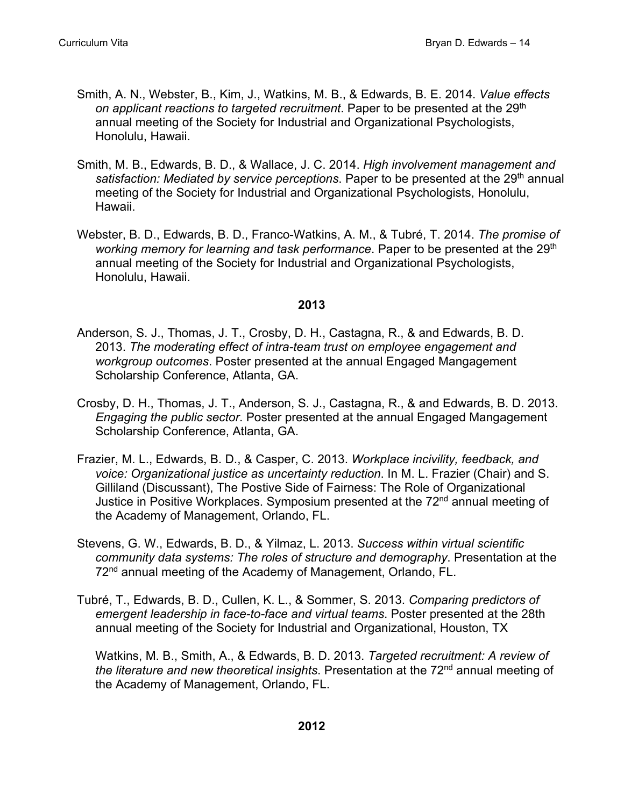- Smith, A. N., Webster, B., Kim, J., Watkins, M. B., & Edwards, B. E. 2014. *Value effects on applicant reactions to targeted recruitment*. Paper to be presented at the 29th annual meeting of the Society for Industrial and Organizational Psychologists, Honolulu, Hawaii.
- Smith, M. B., Edwards, B. D., & Wallace, J. C. 2014. *High involvement management and*  satisfaction: Mediated by service perceptions. Paper to be presented at the 29<sup>th</sup> annual meeting of the Society for Industrial and Organizational Psychologists, Honolulu, Hawaii.
- Webster, B. D., Edwards, B. D., Franco-Watkins, A. M., & Tubré, T. 2014. *The promise of working memory for learning and task performance*. Paper to be presented at the 29<sup>th</sup> annual meeting of the Society for Industrial and Organizational Psychologists, Honolulu, Hawaii.

- Anderson, S. J., Thomas, J. T., Crosby, D. H., Castagna, R., & and Edwards, B. D. 2013. *The moderating effect of intra-team trust on employee engagement and workgroup outcomes*. Poster presented at the annual Engaged Mangagement Scholarship Conference, Atlanta, GA.
- Crosby, D. H., Thomas, J. T., Anderson, S. J., Castagna, R., & and Edwards, B. D. 2013. *Engaging the public sector*. Poster presented at the annual Engaged Mangagement Scholarship Conference, Atlanta, GA.
- Frazier, M. L., Edwards, B. D., & Casper, C. 2013. *Workplace incivility, feedback, and voice: Organizational justice as uncertainty reduction*. In M. L. Frazier (Chair) and S. Gilliland (Discussant), The Postive Side of Fairness: The Role of Organizational Justice in Positive Workplaces. Symposium presented at the 72<sup>nd</sup> annual meeting of the Academy of Management, Orlando, FL.
- Stevens, G. W., Edwards, B. D., & Yilmaz, L. 2013. *Success within virtual scientific community data systems: The roles of structure and demography*. Presentation at the 72nd annual meeting of the Academy of Management, Orlando, FL.
- Tubré, T., Edwards, B. D., Cullen, K. L., & Sommer, S. 2013. *Comparing predictors of emergent leadership in face-to-face and virtual teams*. Poster presented at the 28th annual meeting of the Society for Industrial and Organizational, Houston, TX

 Watkins, M. B., Smith, A., & Edwards, B. D. 2013. *Targeted recruitment: A review of*  the literature and new theoretical insights. Presentation at the 72<sup>nd</sup> annual meeting of the Academy of Management, Orlando, FL.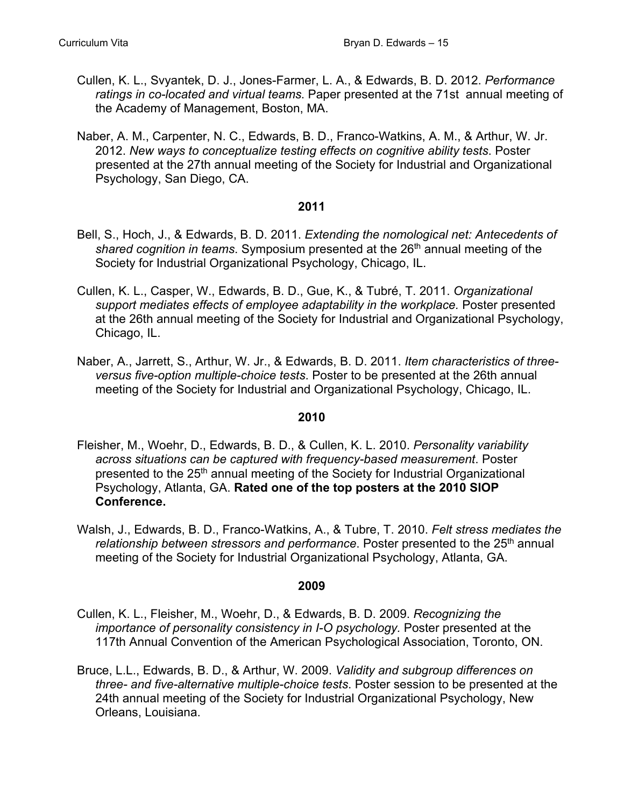- Cullen, K. L., Svyantek, D. J., Jones-Farmer, L. A., & Edwards, B. D. 2012. *Performance ratings in co-located and virtual teams*. Paper presented at the 71st annual meeting of the Academy of Management, Boston, MA.
- Naber, A. M., Carpenter, N. C., Edwards, B. D., Franco-Watkins, A. M., & Arthur, W. Jr. 2012. *New ways to conceptualize testing effects on cognitive ability tests*. Poster presented at the 27th annual meeting of the Society for Industrial and Organizational Psychology, San Diego, CA.

- Bell, S., Hoch, J., & Edwards, B. D. 2011. *Extending the nomological net: Antecedents of shared cognition in teams*. Symposium presented at the 26th annual meeting of the Society for Industrial Organizational Psychology, Chicago, IL.
- Cullen, K. L., Casper, W., Edwards, B. D., Gue, K., & Tubré, T. 2011. *Organizational support mediates effects of employee adaptability in the workplace.* Poster presented at the 26th annual meeting of the Society for Industrial and Organizational Psychology, Chicago, IL.
- Naber, A., Jarrett, S., Arthur, W. Jr., & Edwards, B. D. 2011. *Item characteristics of threeversus five-option multiple-choice tests*. Poster to be presented at the 26th annual meeting of the Society for Industrial and Organizational Psychology, Chicago, IL.

# **2010**

- Fleisher, M., Woehr, D., Edwards, B. D., & Cullen, K. L. 2010. *Personality variability across situations can be captured with frequency-based measurement*. Poster presented to the 25<sup>th</sup> annual meeting of the Society for Industrial Organizational Psychology, Atlanta, GA. **Rated one of the top posters at the 2010 SIOP Conference.**
- Walsh, J., Edwards, B. D., Franco-Watkins, A., & Tubre, T. 2010. *Felt stress mediates the*  relationship between stressors and performance. Poster presented to the 25<sup>th</sup> annual meeting of the Society for Industrial Organizational Psychology, Atlanta, GA.

- Cullen, K. L., Fleisher, M., Woehr, D., & Edwards, B. D. 2009. *Recognizing the importance of personality consistency in I-O psychology.* Poster presented at the 117th Annual Convention of the American Psychological Association, Toronto, ON.
- Bruce, L.L., Edwards, B. D., & Arthur, W. 2009. *Validity and subgroup differences on three- and five-alternative multiple-choice tests*. Poster session to be presented at the 24th annual meeting of the Society for Industrial Organizational Psychology, New Orleans, Louisiana.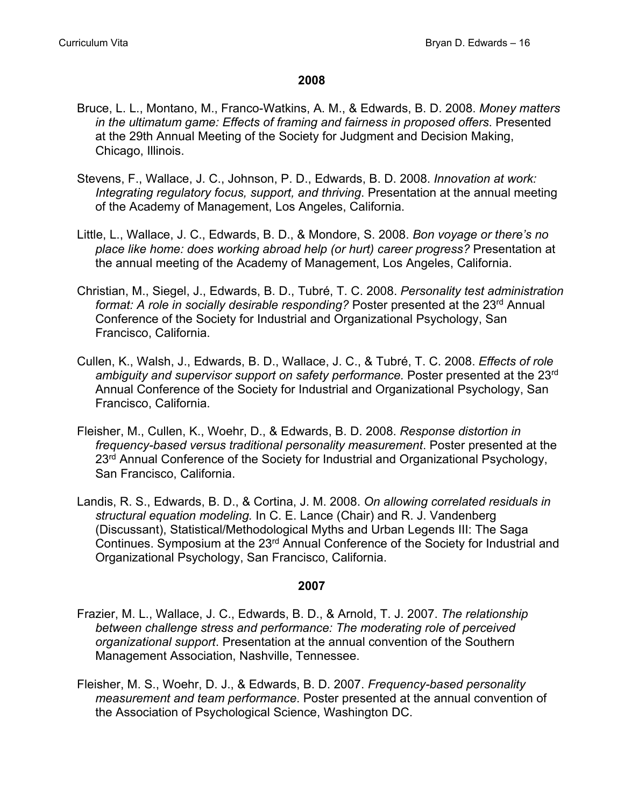- Bruce, L. L., Montano, M., Franco-Watkins, A. M., & Edwards, B. D. 2008. *Money matters in the ultimatum game: Effects of framing and fairness in proposed offers*. Presented at the 29th Annual Meeting of the Society for Judgment and Decision Making, Chicago, Illinois.
- Stevens, F., Wallace, J. C., Johnson, P. D., Edwards, B. D. 2008. *Innovation at work: Integrating regulatory focus, support, and thriving*. Presentation at the annual meeting of the Academy of Management, Los Angeles, California.
- Little, L., Wallace, J. C., Edwards, B. D., & Mondore, S. 2008. *Bon voyage or there's no place like home: does working abroad help (or hurt) career progress?* Presentation at the annual meeting of the Academy of Management, Los Angeles, California.
- Christian, M., Siegel, J., Edwards, B. D., Tubré, T. C. 2008. *Personality test administration format: A role in socially desirable responding?* Poster presented at the 23<sup>rd</sup> Annual Conference of the Society for Industrial and Organizational Psychology, San Francisco, California.
- Cullen, K., Walsh, J., Edwards, B. D., Wallace, J. C., & Tubré, T. C. 2008. *Effects of role ambiguity and supervisor support on safety performance.* Poster presented at the 23rd Annual Conference of the Society for Industrial and Organizational Psychology, San Francisco, California.
- Fleisher, M., Cullen, K., Woehr, D., & Edwards, B. D. 2008. *Response distortion in frequency-based versus traditional personality measurement*. Poster presented at the 23<sup>rd</sup> Annual Conference of the Society for Industrial and Organizational Psychology, San Francisco, California.
- Landis, R. S., Edwards, B. D., & Cortina, J. M. 2008. *On allowing correlated residuals in structural equation modeling.* In C. E. Lance (Chair) and R. J. Vandenberg (Discussant), Statistical/Methodological Myths and Urban Legends III: The Saga Continues. Symposium at the 23<sup>rd</sup> Annual Conference of the Society for Industrial and Organizational Psychology, San Francisco, California.

- Frazier, M. L., Wallace, J. C., Edwards, B. D., & Arnold, T. J. 2007. *The relationship between challenge stress and performance: The moderating role of perceived organizational support*. Presentation at the annual convention of the Southern Management Association, Nashville, Tennessee.
- Fleisher, M. S., Woehr, D. J., & Edwards, B. D. 2007. *Frequency-based personality measurement and team performance*. Poster presented at the annual convention of the Association of Psychological Science, Washington DC.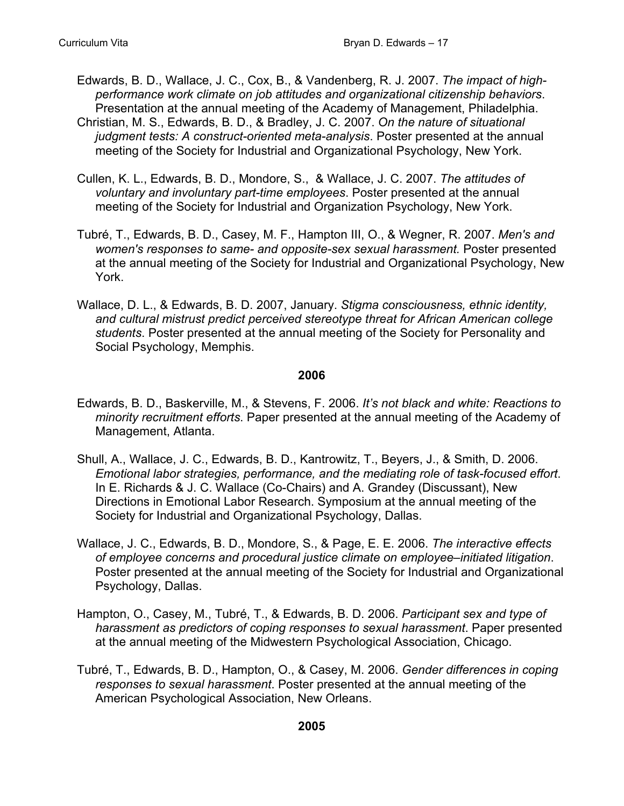- Edwards, B. D., Wallace, J. C., Cox, B., & Vandenberg, R. J. 2007. *The impact of highperformance work climate on job attitudes and organizational citizenship behaviors*. Presentation at the annual meeting of the Academy of Management, Philadelphia.
- Christian, M. S., Edwards, B. D., & Bradley, J. C. 2007. *On the nature of situational judgment tests: A construct-oriented meta-analysis*. Poster presented at the annual meeting of the Society for Industrial and Organizational Psychology, New York.
- Cullen, K. L., Edwards, B. D., Mondore, S., & Wallace, J. C. 2007. *The attitudes of voluntary and involuntary part-time employees*. Poster presented at the annual meeting of the Society for Industrial and Organization Psychology, New York.
- Tubré, T., Edwards, B. D., Casey, M. F., Hampton III, O., & Wegner, R. 2007. *Men's and women's responses to same- and opposite-sex sexual harassment.* Poster presented at the annual meeting of the Society for Industrial and Organizational Psychology, New York.
- Wallace, D. L., & Edwards, B. D. 2007, January. *Stigma consciousness, ethnic identity, and cultural mistrust predict perceived stereotype threat for African American college students*. Poster presented at the annual meeting of the Society for Personality and Social Psychology, Memphis.

- Edwards, B. D., Baskerville, M., & Stevens, F. 2006. *It's not black and white: Reactions to minority recruitment efforts*. Paper presented at the annual meeting of the Academy of Management, Atlanta.
- Shull, A., Wallace, J. C., Edwards, B. D., Kantrowitz, T., Beyers, J., & Smith, D. 2006. *Emotional labor strategies, performance, and the mediating role of task-focused effort*. In E. Richards & J. C. Wallace (Co-Chairs) and A. Grandey (Discussant), New Directions in Emotional Labor Research. Symposium at the annual meeting of the Society for Industrial and Organizational Psychology, Dallas.
- Wallace, J. C., Edwards, B. D., Mondore, S., & Page, E. E. 2006. *The interactive effects of employee concerns and procedural justice climate on employee–initiated litigation*. Poster presented at the annual meeting of the Society for Industrial and Organizational Psychology, Dallas.
- Hampton, O., Casey, M., Tubré, T., & Edwards, B. D. 2006. *Participant sex and type of harassment as predictors of coping responses to sexual harassment*. Paper presented at the annual meeting of the Midwestern Psychological Association, Chicago.
- Tubré, T., Edwards, B. D., Hampton, O., & Casey, M. 2006. *Gender differences in coping responses to sexual harassment*. Poster presented at the annual meeting of the American Psychological Association, New Orleans.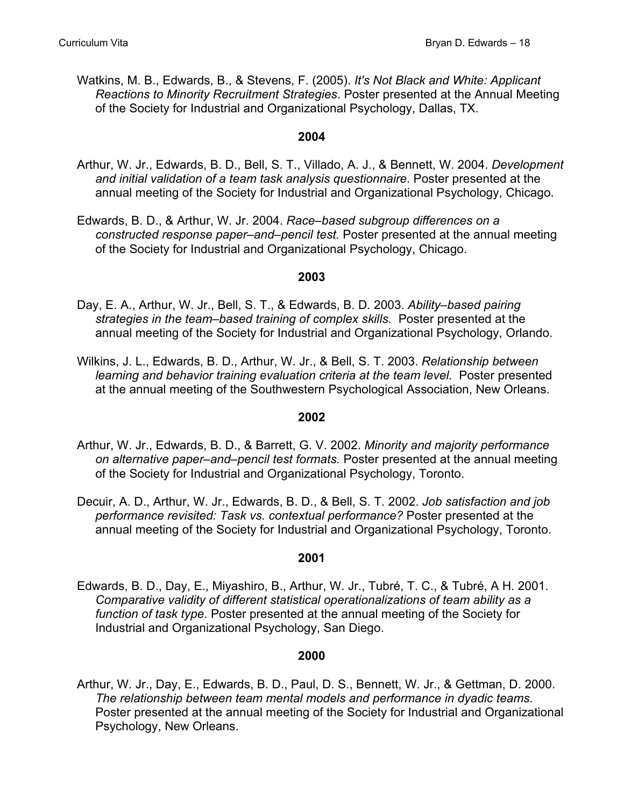Watkins, M. B., Edwards, B., & Stevens, F. (2005). *It's Not Black and White: Applicant Reactions to Minority Recruitment Strategies*. Poster presented at the Annual Meeting of the Society for Industrial and Organizational Psychology, Dallas, TX.

## **2004**

- Arthur, W. Jr., Edwards, B. D., Bell, S. T., Villado, A. J., & Bennett, W. 2004. *Development and initial validation of a team task analysis questionnaire*. Poster presented at the annual meeting of the Society for Industrial and Organizational Psychology, Chicago.
- Edwards, B. D., & Arthur, W. Jr. 2004. *Race–based subgroup differences on a constructed response paper–and–pencil test.* Poster presented at the annual meeting of the Society for Industrial and Organizational Psychology, Chicago.

#### **2003**

- Day, E. A., Arthur, W. Jr., Bell, S. T., & Edwards, B. D. 2003. *Ability–based pairing strategies in the team–based training of complex skills.* Poster presented at the annual meeting of the Society for Industrial and Organizational Psychology, Orlando.
- Wilkins, J. L., Edwards, B. D., Arthur, W. Jr., & Bell, S. T. 2003. *Relationship between learning and behavior training evaluation criteria at the team level.* Poster presented at the annual meeting of the Southwestern Psychological Association, New Orleans.

#### **2002**

- Arthur, W. Jr., Edwards, B. D., & Barrett, G. V. 2002. *Minority and majority performance on alternative paper–and–pencil test formats.* Poster presented at the annual meeting of the Society for Industrial and Organizational Psychology, Toronto.
- Decuir, A. D., Arthur, W. Jr., Edwards, B. D., & Bell, S. T. 2002. *Job satisfaction and job performance revisited: Task vs. contextual performance?* Poster presented at the annual meeting of the Society for Industrial and Organizational Psychology, Toronto.

#### **2001**

Edwards, B. D., Day, E., Miyashiro, B., Arthur, W. Jr., Tubré, T. C., & Tubré, A H. 2001. *Comparative validity of different statistical operationalizations of team ability as a function of task type*. Poster presented at the annual meeting of the Society for Industrial and Organizational Psychology, San Diego.

#### **2000**

Arthur, W. Jr., Day, E., Edwards, B. D., Paul, D. S., Bennett, W. Jr., & Gettman, D. 2000. *The relationship between team mental models and performance in dyadic teams*. Poster presented at the annual meeting of the Society for Industrial and Organizational Psychology, New Orleans.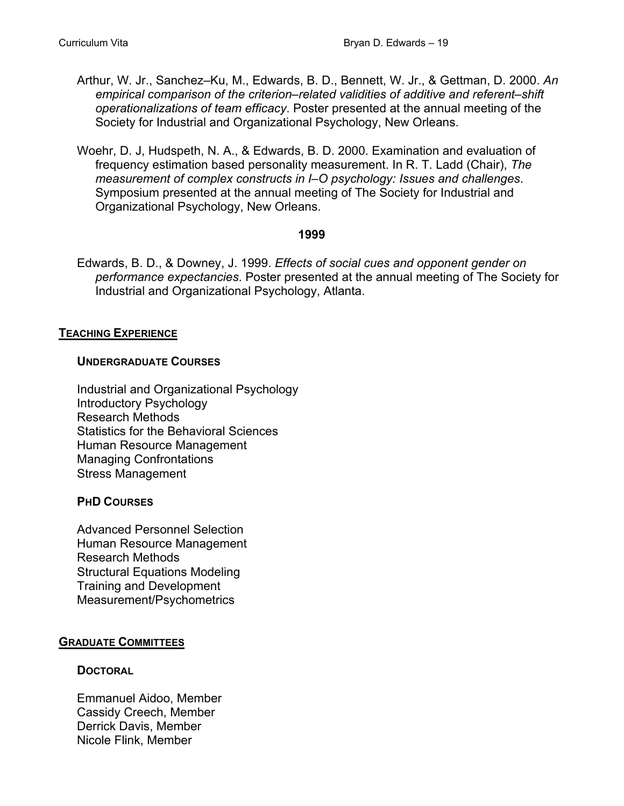- Arthur, W. Jr., Sanchez–Ku, M., Edwards, B. D., Bennett, W. Jr., & Gettman, D. 2000. *An empirical comparison of the criterion–related validities of additive and referent–shift operationalizations of team efficacy*. Poster presented at the annual meeting of the Society for Industrial and Organizational Psychology, New Orleans.
- Woehr, D. J, Hudspeth, N. A., & Edwards, B. D. 2000. Examination and evaluation of frequency estimation based personality measurement. In R. T. Ladd (Chair), *The measurement of complex constructs in I–O psychology: Issues and challenges*. Symposium presented at the annual meeting of The Society for Industrial and Organizational Psychology, New Orleans.

Edwards, B. D., & Downey, J. 1999. *Effects of social cues and opponent gender on performance expectancies*. Poster presented at the annual meeting of The Society for Industrial and Organizational Psychology, Atlanta.

# **TEACHING EXPERIENCE**

## **UNDERGRADUATE COURSES**

Industrial and Organizational Psychology Introductory Psychology Research Methods Statistics for the Behavioral Sciences Human Resource Management Managing Confrontations Stress Management

# **PHD COURSES**

Advanced Personnel Selection Human Resource Management Research Methods Structural Equations Modeling Training and Development Measurement/Psychometrics

# **GRADUATE COMMITTEES**

#### **DOCTORAL**

 Emmanuel Aidoo, Member Cassidy Creech, Member Derrick Davis, Member Nicole Flink, Member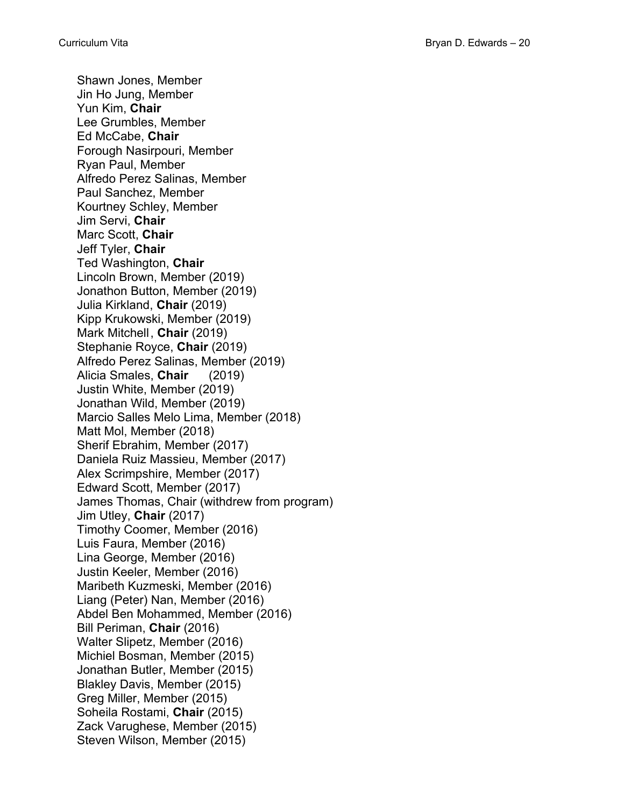Shawn Jones, Member Jin Ho Jung, Member Yun Kim, **Chair** Lee Grumbles, Member Ed McCabe, **Chair** Forough Nasirpouri, Member Ryan Paul, Member Alfredo Perez Salinas, Member Paul Sanchez, Member Kourtney Schley, Member Jim Servi, **Chair** Marc Scott, **Chair** Jeff Tyler, **Chair** Ted Washington, **Chair** Lincoln Brown, Member (2019) Jonathon Button, Member (2019) Julia Kirkland, **Chair** (2019) Kipp Krukowski, Member (2019) Mark Mitchell , **Chair** (2019) Stephanie Royce, **Chair** (2019) Alfredo Perez Salinas, Member (2019) Alicia Smales, **Chair** (2019) Justin White, Member (2019) Jonathan Wild, Member (2019) Marcio Salles Melo Lima, Member (2018) Matt Mol, Member (2018) Sherif Ebrahim, Member (2017) Daniela Ruiz Massieu, Member (2017) Alex Scrimpshire, Member (2017) Edward Scott, Member (2017) James Thomas, Chair (withdrew from program) Jim Utley, **Chair** (2017) Timothy Coomer, Member (2016) Luis Faura, Member (2016) Lina George, Member (2016) Justin Keeler, Member (2016) Maribeth Kuzmeski, Member (2016) Liang (Peter) Nan, Member (2016) Abdel Ben Mohammed, Member (2016) Bill Periman, **Chair** (2016) Walter Slipetz, Member (2016) Michiel Bosman, Member (2015) Jonathan Butler, Member (2015) Blakley Davis, Member (2015) Greg Miller, Member (2015) Soheila Rostami, **Chair** (2015) Zack Varughese, Member (2015) Steven Wilson, Member (2015)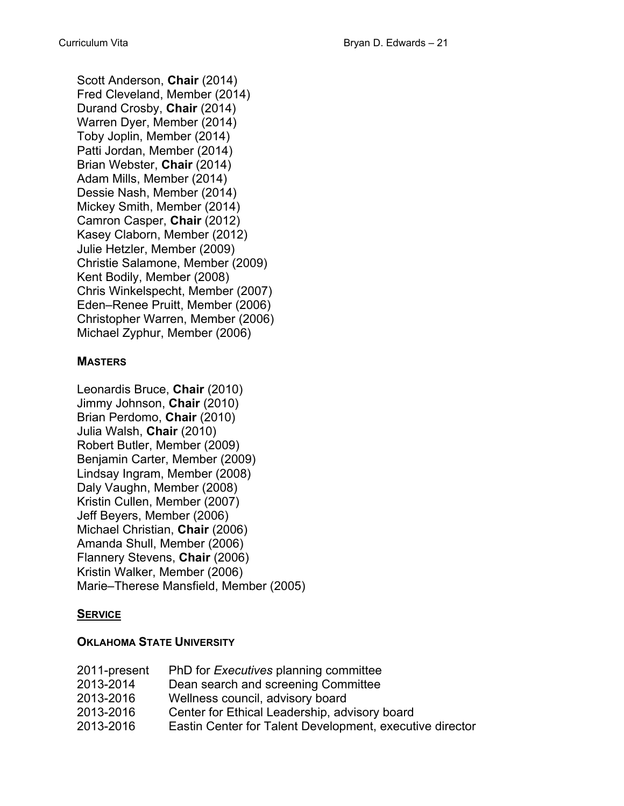Scott Anderson, **Chair** (2014) Fred Cleveland, Member (2014) Durand Crosby, **Chair** (2014) Warren Dyer, Member (2014) Toby Joplin, Member (2014) Patti Jordan, Member (2014) Brian Webster, **Chair** (2014) Adam Mills, Member (2014) Dessie Nash, Member (2014) Mickey Smith, Member (2014) Camron Casper, **Chair** (2012) Kasey Claborn, Member (2012) Julie Hetzler, Member (2009) Christie Salamone, Member (2009) Kent Bodily, Member (2008) Chris Winkelspecht, Member (2007) Eden–Renee Pruitt, Member (2006) Christopher Warren, Member (2006) Michael Zyphur, Member (2006)

# **MASTERS**

Leonardis Bruce, **Chair** (2010) Jimmy Johnson, **Chair** (2010) Brian Perdomo, **Chair** (2010) Julia Walsh, **Chair** (2010) Robert Butler, Member (2009) Benjamin Carter, Member (2009) Lindsay Ingram, Member (2008) Daly Vaughn, Member (2008) Kristin Cullen, Member (2007) Jeff Beyers, Member (2006) Michael Christian, **Chair** (2006) Amanda Shull, Member (2006) Flannery Stevens, **Chair** (2006) Kristin Walker, Member (2006) Marie–Therese Mansfield, Member (2005)

# **SERVICE**

# **OKLAHOMA STATE UNIVERSITY**

| 2011-present | PhD for <i>Executives</i> planning committee             |
|--------------|----------------------------------------------------------|
| 2013-2014    | Dean search and screening Committee                      |
| 2013-2016    | Wellness council, advisory board                         |
| 2013-2016    | Center for Ethical Leadership, advisory board            |
| 2013-2016    | Eastin Center for Talent Development, executive director |
|              |                                                          |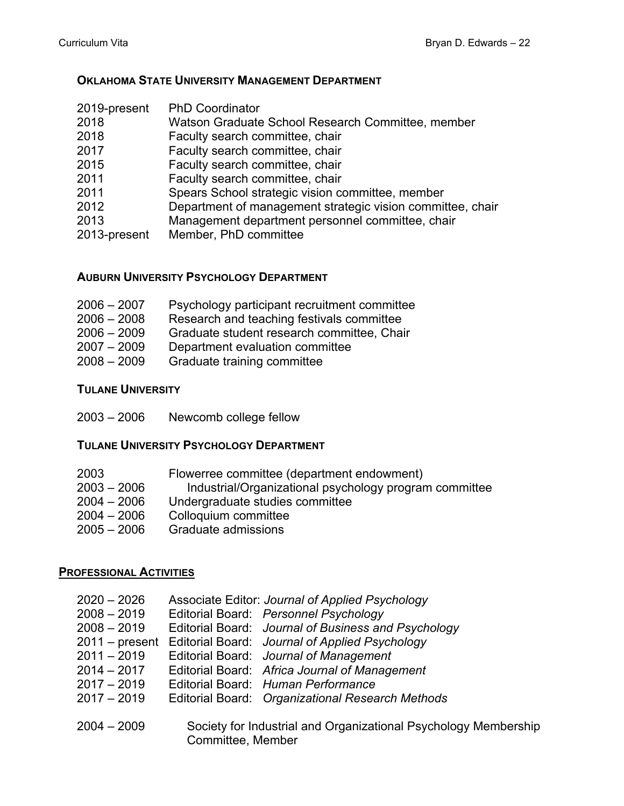# **OKLAHOMA STATE UNIVERSITY MANAGEMENT DEPARTMENT**

| 2019-present | <b>PhD Coordinator</b>                                     |
|--------------|------------------------------------------------------------|
| 2018         | Watson Graduate School Research Committee, member          |
| 2018         | Faculty search committee, chair                            |
| 2017         | Faculty search committee, chair                            |
| 2015         | Faculty search committee, chair                            |
| 2011         | Faculty search committee, chair                            |
| 2011         | Spears School strategic vision committee, member           |
| 2012         | Department of management strategic vision committee, chair |
| 2013         | Management department personnel committee, chair           |
| 2013-present | Member, PhD committee                                      |
|              |                                                            |

# **AUBURN UNIVERSITY PSYCHOLOGY DEPARTMENT**

| $2006 - 2007$ | Psychology participant recruitment committee |
|---------------|----------------------------------------------|
| $2006 - 2008$ | Research and teaching festivals committee    |
| $2006 - 2009$ | Graduate student research committee, Chair   |
| $2007 - 2009$ | Department evaluation committee              |
| $2008 - 2009$ | Graduate training committee                  |

# **TULANE UNIVERSITY**

2003 – 2006 Newcomb college fellow

## **TULANE UNIVERSITY PSYCHOLOGY DEPARTMENT**

| 2003          | Flowerree committee (department endowment)             |
|---------------|--------------------------------------------------------|
| $2003 - 2006$ | Industrial/Organizational psychology program committee |
| $2004 - 2006$ | Undergraduate studies committee                        |
| $2004 - 2006$ | Colloquium committee                                   |
| $2005 - 2006$ | Graduate admissions                                    |

# **PROFESSIONAL ACTIVITIES**

| $2020 - 2026$    |                   | Associate Editor: Journal of Applied Psychology                 |
|------------------|-------------------|-----------------------------------------------------------------|
| $2008 - 2019$    |                   | Editorial Board: Personnel Psychology                           |
| $2008 - 2019$    |                   | Editorial Board: Journal of Business and Psychology             |
| $2011 - present$ |                   | Editorial Board: Journal of Applied Psychology                  |
| $2011 - 2019$    |                   | Editorial Board: Journal of Management                          |
| $2014 - 2017$    |                   | Editorial Board: Africa Journal of Management                   |
| $2017 - 2019$    |                   | Editorial Board: Human Performance                              |
| $2017 - 2019$    |                   | Editorial Board: Organizational Research Methods                |
|                  |                   |                                                                 |
| $2004 - 2009$    |                   | Society for Industrial and Organizational Psychology Membership |
|                  | Committee, Member |                                                                 |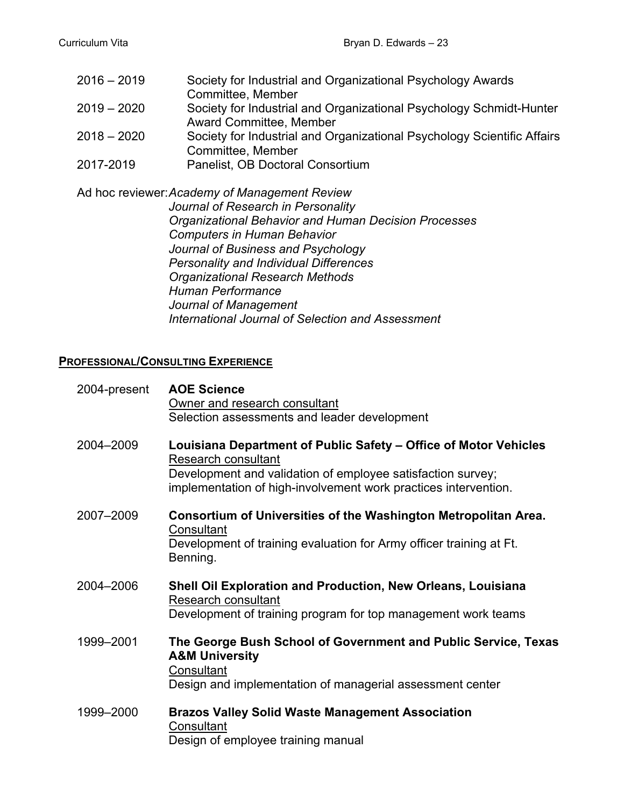| $2016 - 2019$ | Society for Industrial and Organizational Psychology Awards             |
|---------------|-------------------------------------------------------------------------|
|               | Committee, Member                                                       |
| $2019 - 2020$ | Society for Industrial and Organizational Psychology Schmidt-Hunter     |
|               | <b>Award Committee, Member</b>                                          |
| $2018 - 2020$ | Society for Industrial and Organizational Psychology Scientific Affairs |
|               | Committee, Member                                                       |
| 2017-2019     | Panelist, OB Doctoral Consortium                                        |

Ad hoc reviewer: *Academy of Management Review Journal of Research in Personality Organizational Behavior and Human Decision Processes Computers in Human Behavior Journal of Business and Psychology Personality and Individual Differences Organizational Research Methods Human Performance Journal of Management International Journal of Selection and Assessment*

# **PROFESSIONAL/CONSULTING EXPERIENCE**

| 2004-present | <b>AOE Science</b><br>Owner and research consultant<br>Selection assessments and leader development                                                                                                                       |
|--------------|---------------------------------------------------------------------------------------------------------------------------------------------------------------------------------------------------------------------------|
| 2004-2009    | Louisiana Department of Public Safety – Office of Motor Vehicles<br>Research consultant<br>Development and validation of employee satisfaction survey;<br>implementation of high-involvement work practices intervention. |
| 2007-2009    | Consortium of Universities of the Washington Metropolitan Area.<br>Consultant<br>Development of training evaluation for Army officer training at Ft.<br>Benning.                                                          |
| 2004-2006    | Shell Oil Exploration and Production, New Orleans, Louisiana<br>Research consultant<br>Development of training program for top management work teams                                                                      |
| 1999-2001    | The George Bush School of Government and Public Service, Texas<br><b>A&amp;M University</b><br>Consultant<br>Design and implementation of managerial assessment center                                                    |
| 1999-2000    | <b>Brazos Valley Solid Waste Management Association</b><br>Consultant<br>Design of employee training manual                                                                                                               |